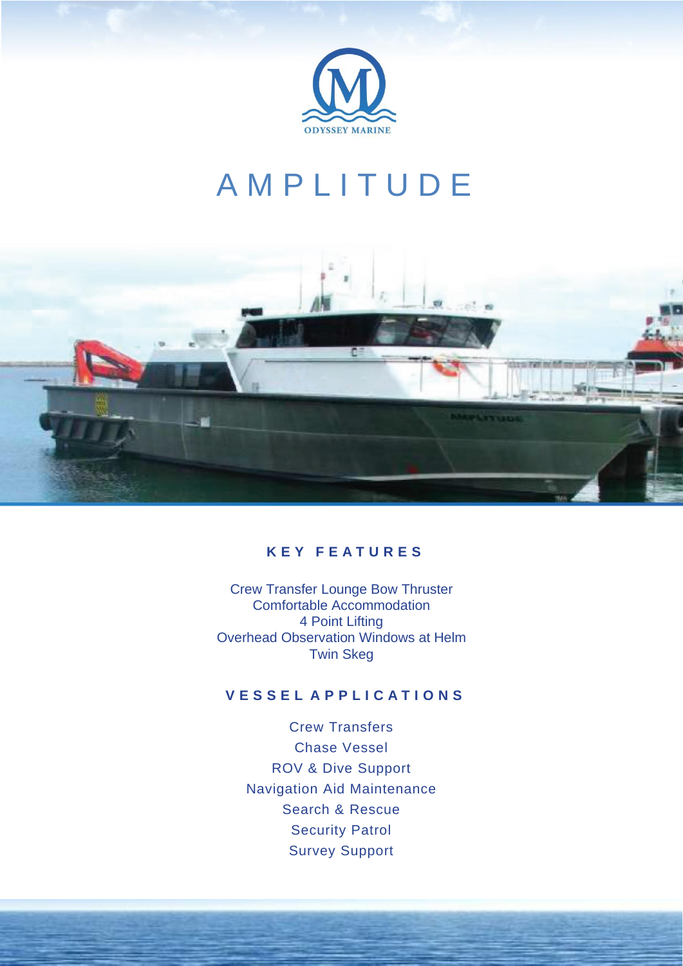

## **AMPLITUDE**



## **K E Y F E A T U R E S**

Crew Transfer Lounge Bow Thruster Comfortable Accommodation 4 Point Lifting Overhead Observation Windows at Helm Twin Skeg

## **V E S S E L A P P L I C A T I O N S**

Crew Transfers Chase Vessel ROV & Dive Support Navigation Aid Maintenance Search & Rescue Security Patrol Survey Support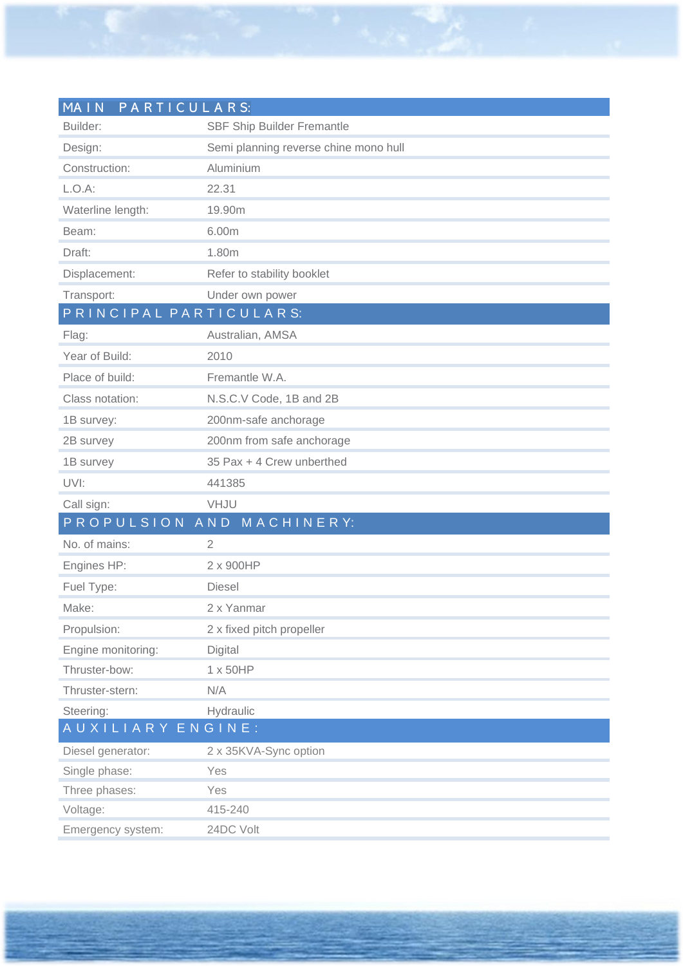| MAIN<br>PARTICULARS:   |                                       |
|------------------------|---------------------------------------|
| Builder:               | <b>SBF Ship Builder Fremantle</b>     |
| Design:                | Semi planning reverse chine mono hull |
| Construction:          | Aluminium                             |
| $L.O.A$ :              | 22.31                                 |
| Waterline length:      | 19.90m                                |
| Beam:                  | 6.00m                                 |
| Draft:                 | 1.80m                                 |
| Displacement:          | Refer to stability booklet            |
| Transport:             | Under own power                       |
| PRINCIPAL PARTICULARS: |                                       |
| Flag:                  | Australian, AMSA                      |
| Year of Build:         | 2010                                  |
| Place of build:        | Fremantle W.A.                        |
| Class notation:        | N.S.C.V Code, 1B and 2B               |
| 1B survey:             | 200nm-safe anchorage                  |
| 2B survey              | 200nm from safe anchorage             |
| 1B survey              | 35 Pax + 4 Crew unberthed             |
| UVI:                   | 441385                                |
| Call sign:             | VHJU                                  |
|                        | PROPULSION AND MACHINERY:             |
| No. of mains:          | $\overline{2}$                        |
| Engines HP:            | 2 x 900HP                             |
| Fuel Type:             | Diesel                                |
| Make:                  | 2 x Yanmar                            |
| Propulsion:            | 2 x fixed pitch propeller             |
| Engine monitoring:     | Digital                               |
| Thruster-bow:          | 1 x 50HP                              |
| Thruster-stern:        | N/A                                   |
| Steering:              | Hydraulic                             |
| AUXILIARY ENGINE:      |                                       |
| Diesel generator:      | 2 x 35KVA-Sync option                 |
| Single phase:          | Yes                                   |
| Three phases:          | Yes                                   |
| Voltage:               | 415-240                               |
| Emergency system:      | 24DC Volt                             |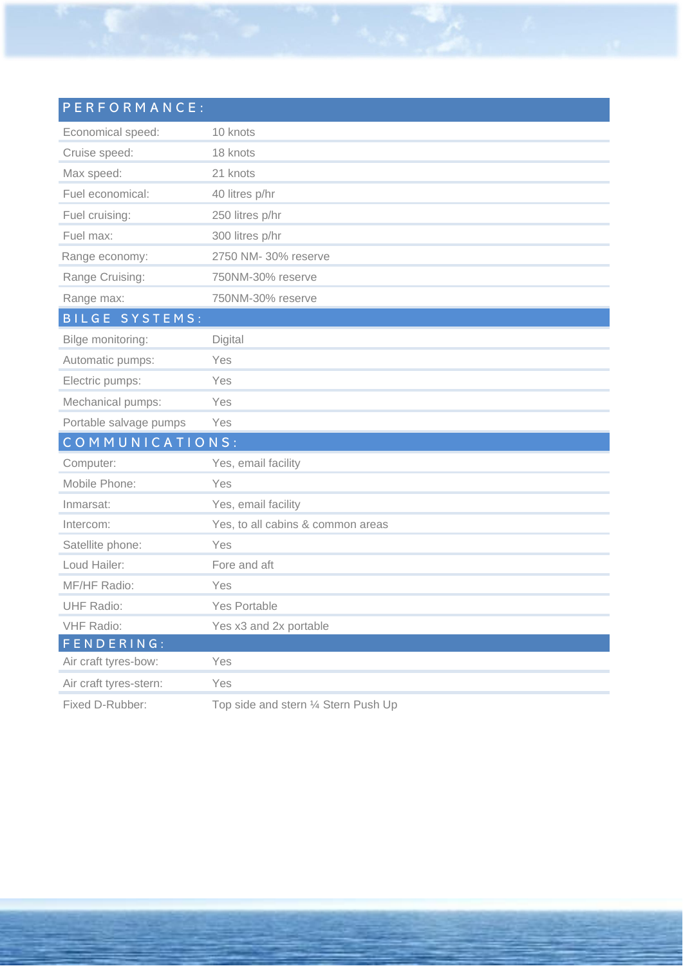| PERFORMANCE:           |                                      |
|------------------------|--------------------------------------|
| Economical speed:      | 10 knots                             |
| Cruise speed:          | 18 knots                             |
| Max speed:             | 21 knots                             |
| Fuel economical:       | 40 litres p/hr                       |
| Fuel cruising:         | 250 litres p/hr                      |
| Fuel max:              | 300 litres p/hr                      |
| Range economy:         | 2750 NM- 30% reserve                 |
| Range Cruising:        | 750NM-30% reserve                    |
| Range max:             | 750NM-30% reserve                    |
| BILGE SYSTEMS:         |                                      |
| Bilge monitoring:      | Digital                              |
| Automatic pumps:       | Yes                                  |
|                        | Yes                                  |
| Electric pumps:        |                                      |
| Mechanical pumps:      | Yes                                  |
| Portable salvage pumps | Yes                                  |
| COMMUNICATIONS:        |                                      |
| Computer:              | Yes, email facility                  |
| Mobile Phone:          | Yes                                  |
| Inmarsat:              | Yes, email facility                  |
| Intercom:              | Yes, to all cabins & common areas    |
| Satellite phone:       | Yes                                  |
| Loud Hailer:           | Fore and aft                         |
| MF/HF Radio:           | Yes                                  |
| <b>UHF Radio:</b>      | Yes Portable                         |
| <b>VHF Radio:</b>      | Yes x3 and 2x portable               |
| FENDERING:             |                                      |
| Air craft tyres-bow:   | Yes                                  |
| Air craft tyres-stern: | Yes                                  |
| Fixed D-Rubber:        | Top side and stern 1/4 Stern Push Up |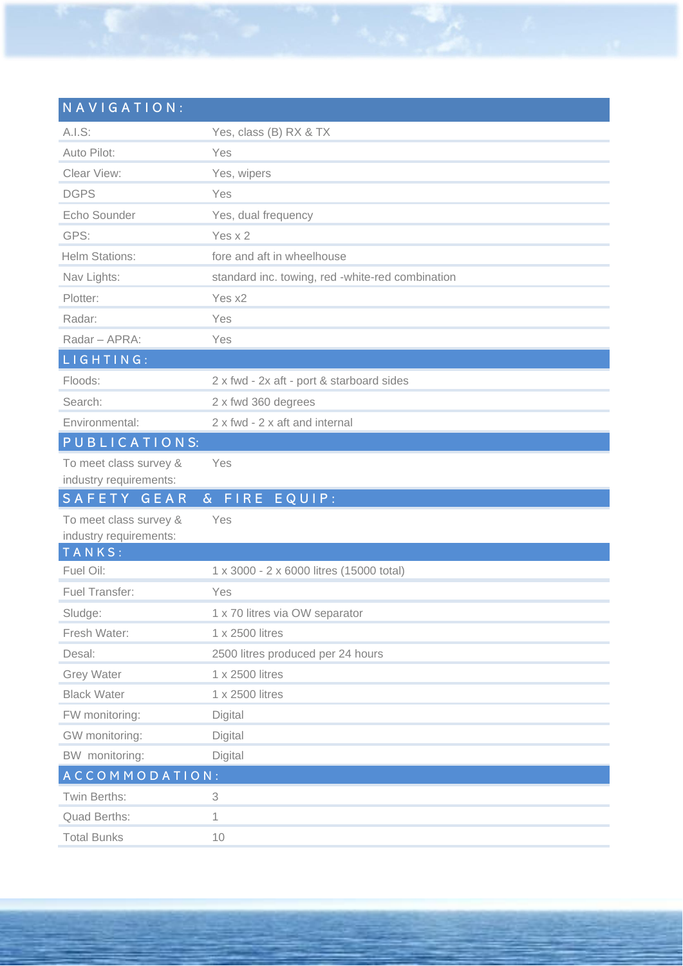| NAVIGATION:                      |                                                  |
|----------------------------------|--------------------------------------------------|
| A.I.S:                           | Yes, class (B) RX & TX                           |
| Auto Pilot:                      | Yes                                              |
| Clear View:                      | Yes, wipers                                      |
| <b>DGPS</b>                      | Yes                                              |
| Echo Sounder                     | Yes, dual frequency                              |
| GPS:                             | Yes $x$ 2                                        |
| <b>Helm Stations:</b>            | fore and aft in wheelhouse                       |
| Nav Lights:                      | standard inc. towing, red -white-red combination |
| Plotter:                         | Yes x2                                           |
| Radar:                           | Yes                                              |
| Radar - APRA:                    | Yes                                              |
| LIGHTING:                        |                                                  |
| Floods:                          | 2 x fwd - 2x aft - port & starboard sides        |
| Search:                          | 2 x fwd 360 degrees                              |
| Environmental:                   | 2 x fwd - 2 x aft and internal                   |
| PUBLICATIONS:                    |                                                  |
| To meet class survey &           | Yes                                              |
| industry requirements:           |                                                  |
| SAFETY GEAR                      | & FIRE EQUIP:                                    |
| To meet class survey &           | Yes                                              |
| industry requirements:<br>TANKS: |                                                  |
| Fuel Oil:                        | 1 x 3000 - 2 x 6000 litres (15000 total)         |
| Fuel Transfer:                   | Yes                                              |
| Sludge:                          | 1 x 70 litres via OW separator                   |
| Fresh Water:                     | 1 x 2500 litres                                  |
| Desal:                           | 2500 litres produced per 24 hours                |
| <b>Grey Water</b>                | 1 x 2500 litres                                  |
| <b>Black Water</b>               | 1 x 2500 litres                                  |
| FW monitoring:                   | Digital                                          |
| GW monitoring:                   | Digital                                          |
| BW monitoring:                   | Digital                                          |
| ACCOMMODATION:                   |                                                  |
| Twin Berths:                     | 3                                                |
| Quad Berths:                     | 1                                                |
| <b>Total Bunks</b>               | 10                                               |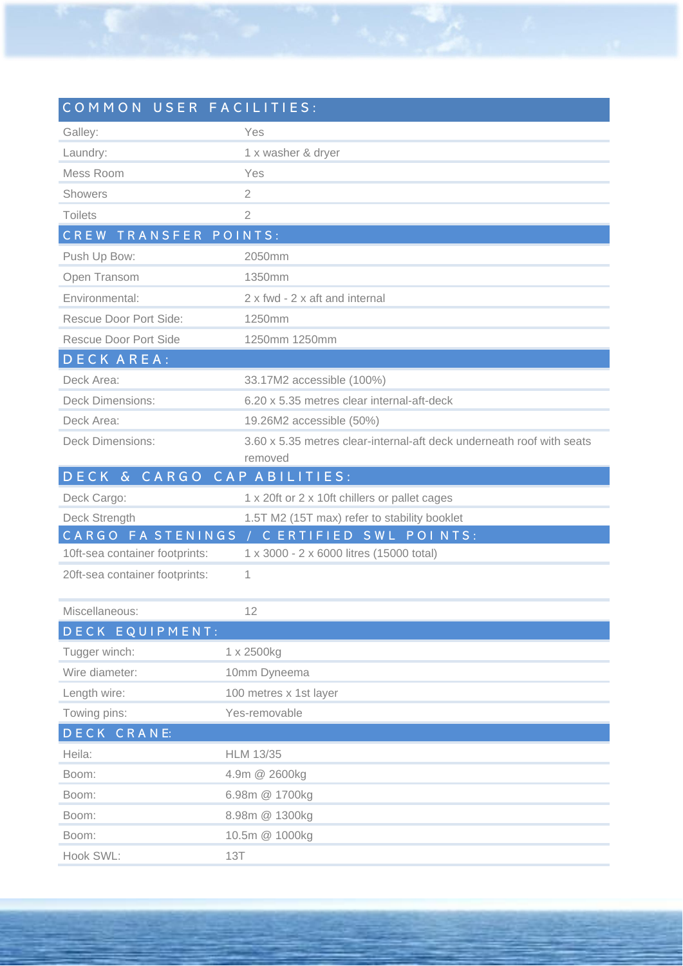| COMMON USER FACILITIES:                               |                                                                       |
|-------------------------------------------------------|-----------------------------------------------------------------------|
| Galley:                                               | Yes                                                                   |
| Laundry:                                              | 1 x washer & dryer                                                    |
| Mess Room                                             | Yes                                                                   |
| Showers                                               | $\overline{2}$                                                        |
| <b>Toilets</b>                                        | $\overline{2}$                                                        |
| CREW TRANSFER POINTS:                                 |                                                                       |
| Push Up Bow:                                          | 2050mm                                                                |
| Open Transom                                          | 1350mm                                                                |
| Environmental:                                        | 2 x fwd - 2 x aft and internal                                        |
| <b>Rescue Door Port Side:</b>                         | 1250mm                                                                |
| <b>Rescue Door Port Side</b>                          | 1250mm 1250mm                                                         |
| DECK AREA:                                            |                                                                       |
| Deck Area:                                            | 33.17M2 accessible (100%)                                             |
| <b>Deck Dimensions:</b>                               | 6.20 x 5.35 metres clear internal-aft-deck                            |
| Deck Area:                                            | 19.26M2 accessible (50%)                                              |
| <b>Deck Dimensions:</b>                               | 3.60 x 5.35 metres clear-internal-aft deck underneath roof with seats |
|                                                       | removed                                                               |
| DECK & CARGO CAP ABILITIES:                           |                                                                       |
| Deck Cargo:                                           | 1 x 20ft or 2 x 10ft chillers or pallet cages                         |
| Deck Strength                                         | 1.5T M2 (15T max) refer to stability booklet                          |
| CARGO FA STENINGS /<br>10ft-sea container footprints: | CERTIFIED SWL POINTS:<br>1 x 3000 - 2 x 6000 litres (15000 total)     |
| 20ft-sea container footprints:                        | 1                                                                     |
|                                                       |                                                                       |
| Miscellaneous:                                        | 12                                                                    |
| DECK EQUIPMENT:                                       |                                                                       |
| Tugger winch:                                         | 1 x 2500kg                                                            |
| Wire diameter:                                        | 10mm Dyneema                                                          |
| Length wire:                                          | 100 metres x 1st layer                                                |
| Towing pins:                                          | Yes-removable                                                         |
| DECK CRANE:                                           |                                                                       |
| Heila:                                                | <b>HLM 13/35</b>                                                      |
| Boom:                                                 | 4.9m @ 2600kg                                                         |
| Boom:                                                 | 6.98m @ 1700kg                                                        |
| Boom:                                                 | 8.98m @ 1300kg                                                        |
| Boom:                                                 | 10.5m @ 1000kg                                                        |
| Hook SWL:                                             | 13T                                                                   |